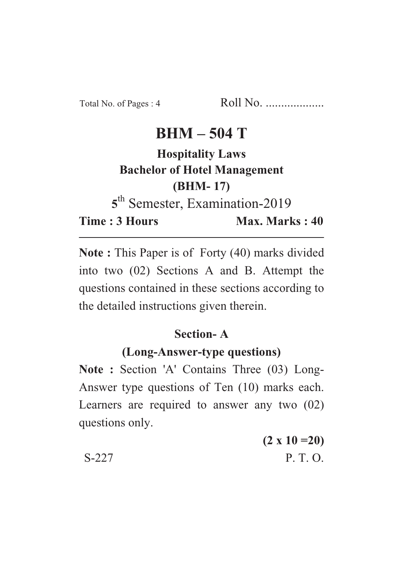# $BHM - 504T$

# **Hospitality Laws Bachelor of Hotel Management (BHM-17)**

<sup>th</sup> Semester, Examination-2019

**Time: 3 Hours** 

Max. Marks: 40 **Time : 3 Hours Max. Marks : 40**

**Note :** This Paper is of Forty (40) marks divided into two (02) Sections A and B. Attempt the questions contained in these sections according to the detailed instructions given therein.

### **Section-A**

### (Long-Answer-type questions)

**(Long-Answer-type questions) Note : Section 'A' Contains Three (03) Long-**Answer type questions of Ten (10) marks each. Learners are required to answer any two (02) questions only.

|       | $(2 \times 10 = 20)$ |
|-------|----------------------|
| S-227 | P.T.O.               |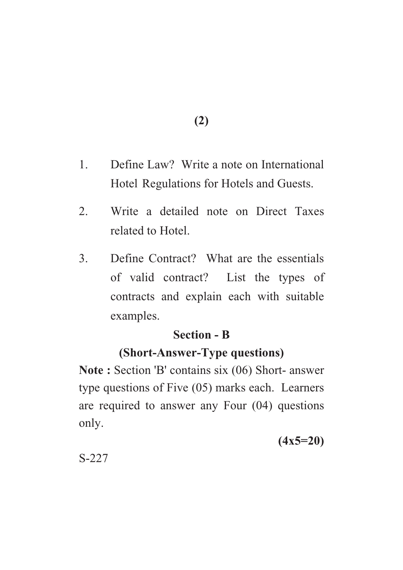**(2)**

- 1. Define Law? Write a note on International Hotel Regulations for Hotels and Guests.
- 2. Write a detailed note on Direct Taxes related to Hotel.
- 3. Define Contract? What are the essentials of valid contract? List the types of contracts and explain each with suitable examples.

#### **Section - B**

## **(Short-Answer-Type questions)**

**(Short-Answer-Type questions) Note : Section 'B' contains six (06) Short- answer** type questions of Five (05) marks each. Learners are required to answer any Four (04) questions only.

**(4x5=20)**

S-227